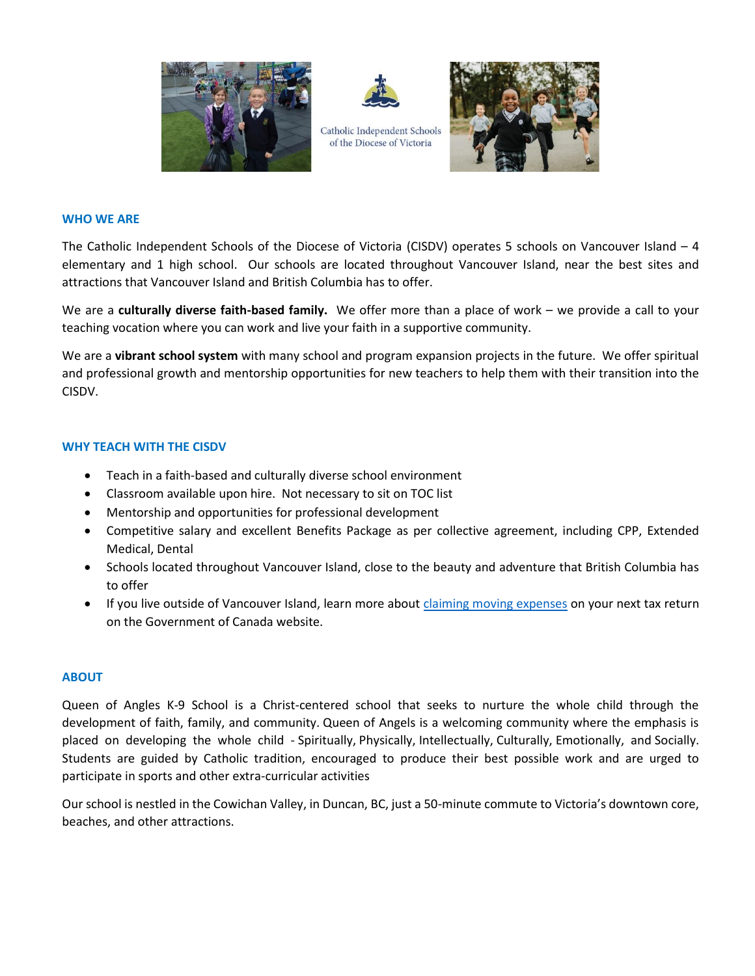



Catholic Independent Schools of the Diocese of Victoria



### **WHO WE ARE**

The Catholic Independent Schools of the Diocese of Victoria (CISDV) operates 5 schools on Vancouver Island – 4 elementary and 1 high school. Our schools are located throughout Vancouver Island, near the best sites and attractions that Vancouver Island and British Columbia has to offer.

We are a **culturally diverse faith-based family.** We offer more than a place of work – we provide a call to your teaching vocation where you can work and live your faith in a supportive community.

We are a **vibrant school system** with many school and program expansion projects in the future. We offer spiritual and professional growth and mentorship opportunities for new teachers to help them with their transition into the CISDV.

# **WHY TEACH WITH THE CISDV**

- Teach in a faith-based and culturally diverse school environment
- Classroom available upon hire. Not necessary to sit on TOC list
- Mentorship and opportunities for professional development
- Competitive salary and excellent Benefits Package as per collective agreement, including CPP, Extended Medical, Dental
- Schools located throughout Vancouver Island, close to the beauty and adventure that British Columbia has to offer
- If you live outside of Vancouver Island, learn more about [claiming moving expenses](https://www.canada.ca/en/revenue-agency/services/tax/individuals/topics/about-your-tax-return/tax-return/completing-a-tax-return/deductions-credits-expenses/line-21900-moving-expenses/you-claim-moving-expenses-12.html) on your next tax return on the Government of Canada website.

## **ABOUT**

Queen of Angles K-9 School is a Christ-centered school that seeks to nurture the whole child through the development of faith, family, and community. Queen of Angels is a welcoming community where the emphasis is placed on developing the whole child - Spiritually, Physically, Intellectually, Culturally, Emotionally, and Socially. Students are guided by Catholic tradition, encouraged to produce their best possible work and are urged to participate in sports and other extra-curricular activities

Our school is nestled in the Cowichan Valley, in Duncan, BC, just a 50-minute commute to Victoria's downtown core, beaches, and other attractions.